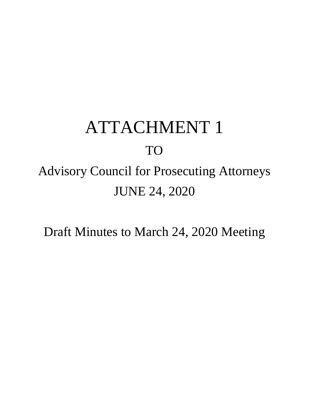# ATTACHMENT 1

# TO

Advisory Council for Prosecuting Attorneys JUNE 24, 2020

Draft Minutes to March 24, 2020 Meeting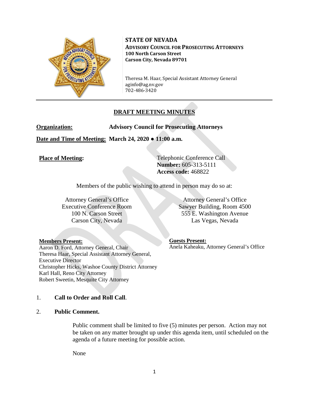

**STATE OF NEVADA ADVISORY COUNCIL FOR PROSECUTING ATTORNEYS 100 North Carson Street Carson City, Nevada 89701**

Theresa M. Haar, Special Assistant Attorney General aginfo@ag.nv.gov 702-486-3420

# **DRAFT MEETING MINUTES**

**Organization: Advisory Council for Prosecuting Attorneys**

**Date and Time of Meeting: March 24, 2020 ● 11:00 a.m.**

**Place of Meeting:** Telephonic Conference Call **Number:** 605-313-5111 **Access code:** 468822

Members of the public wishing to attend in person may do so at:

Attorney General's Office Executive Conference Room 100 N. Carson Street Carson City, Nevada

**Members Present:**

Aaron D. Ford, Attorney General, Chair Theresa Haar, Special Assistant Attorney General, Executive Director Christopher Hicks, Washoe County District Attorney Karl Hall, Reno City Attorney Robert Sweetin, Mesquite City Attorney

1. **Call to Order and Roll Call**.

#### 2. **Public Comment.**

Public comment shall be limited to five (5) minutes per person. Action may not be taken on any matter brought up under this agenda item, until scheduled on the agenda of a future meeting for possible action.

None

Attorney General's Office Sawyer Building, Room 4500 555 E. Washington Avenue Las Vegas, Nevada

**Guests Present:** Anela Kaheaku, Attorney General's Office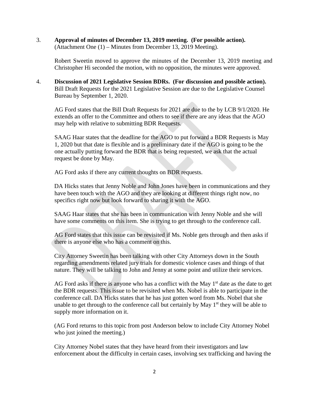3. **Approval of minutes of December 13, 2019 meeting. (For possible action).** (Attachment One (1) – Minutes from December 13, 2019 Meeting).

Robert Sweetin moved to approve the minutes of the December 13, 2019 meeting and Christopher Hi seconded the motion, with no opposition, the minutes were approved.

4. **Discussion of 2021 Legislative Session BDRs. (For discussion and possible action).** Bill Draft Requests for the 2021 Legislative Session are due to the Legislative Counsel Bureau by September 1, 2020.

AG Ford states that the Bill Draft Requests for 2021 are due to the by LCB 9/1/2020. He extends an offer to the Committee and others to see if there are any ideas that the AGO may help with relative to submitting BDR Requests.

SAAG Haar states that the deadline for the AGO to put forward a BDR Requests is May 1, 2020 but that date is flexible and is a preliminary date if the AGO is going to be the one actually putting forward the BDR that is being requested, we ask that the actual request be done by May.

AG Ford asks if there any current thoughts on BDR requests.

DA Hicks states that Jenny Noble and John Jones have been in communications and they have been touch with the AGO and they are looking at different things right now, no specifics right now but look forward to sharing it with the AGO.

SAAG Haar states that she has been in communication with Jenny Noble and she will have some comments on this item. She is trying to get through to the conference call.

AG Ford states that this issue can be revisited if Ms. Noble gets through and then asks if there is anyone else who has a comment on this.

City Attorney Sweetin has been talking with other City Attorneys down in the South regarding amendments related jury trials for domestic violence cases and things of that nature. They will be talking to John and Jenny at some point and utilize their services.

AG Ford asks if there is anyone who has a conflict with the May  $1<sup>st</sup>$  date as the date to get the BDR requests. This issue to be revisited when Ms. Nobel is able to participate in the conference call. DA Hicks states that he has just gotten word from Ms. Nobel that she unable to get through to the conference call but certainly by May  $1<sup>st</sup>$  they will be able to supply more information on it.

(AG Ford returns to this topic from post Anderson below to include City Attorney Nobel who just joined the meeting.)

City Attorney Nobel states that they have heard from their investigators and law enforcement about the difficulty in certain cases, involving sex trafficking and having the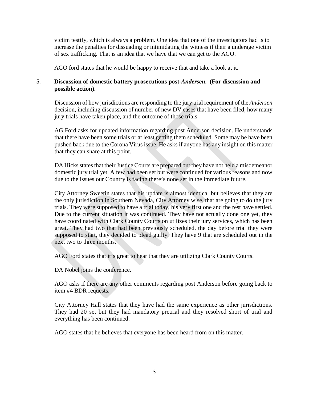victim testify, which is always a problem. One idea that one of the investigators had is to increase the penalties for dissuading or intimidating the witness if their a underage victim of sex trafficking. That is an idea that we have that we can get to the AGO.

AGO ford states that he would be happy to receive that and take a look at it.

### 5. **Discussion of domestic battery prosecutions post-***Andersen***. (For discussion and possible action).**

Discussion of how jurisdictions are responding to the jury trial requirement of the *Andersen* decision, including discussion of number of new DV cases that have been filed, how many jury trials have taken place, and the outcome of those trials.

AG Ford asks for updated information regarding post Anderson decision. He understands that there have been some trials or at least getting them scheduled. Some may be have been pushed back due to the Corona Virus issue. He asks if anyone has any insight on this matter that they can share at this point.

DA Hicks states that their Justice Courts are prepared but they have not held a misdemeanor domestic jury trial yet. A few had been set but were continued for various reasons and now due to the issues our Country is facing there's none set in the immediate future.

City Attorney Sweetin states that his update is almost identical but believes that they are the only jurisdiction in Southern Nevada, City Attorney wise, that are going to do the jury trials. They were supposed to have a trial today, his very first one and the rest have settled. Due to the current situation it was continued. They have not actually done one yet, they have coordinated with Clark County Courts on utilizes their jury services, which has been great. They had two that had been previously scheduled, the day before trial they were supposed to start, they decided to plead guilty. They have 9 that are scheduled out in the next two to three months.

AGO Ford states that it's great to hear that they are utilizing Clark County Courts.

DA Nobel joins the conference.

AGO asks if there are any other comments regarding post Anderson before going back to item #4 BDR requests.

City Attorney Hall states that they have had the same experience as other jurisdictions. They had 20 set but they had mandatory pretrial and they resolved short of trial and everything has been continued.

AGO states that he believes that everyone has been heard from on this matter.